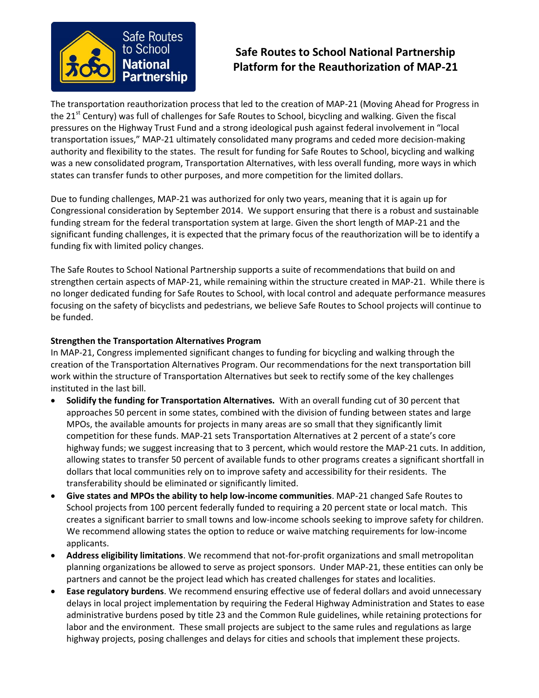

# **Safe Routes to School National Partnership Platform for the Reauthorization of MAP-21**

The transportation reauthorization process that led to the creation of MAP-21 (Moving Ahead for Progress in the 21<sup>st</sup> Century) was full of challenges for Safe Routes to School, bicycling and walking. Given the fiscal pressures on the Highway Trust Fund and a strong ideological push against federal involvement in "local transportation issues," MAP-21 ultimately consolidated many programs and ceded more decision-making authority and flexibility to the states. The result for funding for Safe Routes to School, bicycling and walking was a new consolidated program, Transportation Alternatives, with less overall funding, more ways in which states can transfer funds to other purposes, and more competition for the limited dollars.

Due to funding challenges, MAP-21 was authorized for only two years, meaning that it is again up for Congressional consideration by September 2014. We support ensuring that there is a robust and sustainable funding stream for the federal transportation system at large. Given the short length of MAP-21 and the significant funding challenges, it is expected that the primary focus of the reauthorization will be to identify a funding fix with limited policy changes.

The Safe Routes to School National Partnership supports a suite of recommendations that build on and strengthen certain aspects of MAP-21, while remaining within the structure created in MAP-21. While there is no longer dedicated funding for Safe Routes to School, with local control and adequate performance measures focusing on the safety of bicyclists and pedestrians, we believe Safe Routes to School projects will continue to be funded.

# **Strengthen the Transportation Alternatives Program**

In MAP-21, Congress implemented significant changes to funding for bicycling and walking through the creation of the Transportation Alternatives Program. Our recommendations for the next transportation bill work within the structure of Transportation Alternatives but seek to rectify some of the key challenges instituted in the last bill.

- **Solidify the funding for Transportation Alternatives.** With an overall funding cut of 30 percent that approaches 50 percent in some states, combined with the division of funding between states and large MPOs, the available amounts for projects in many areas are so small that they significantly limit competition for these funds. MAP-21 sets Transportation Alternatives at 2 percent of a state's core highway funds; we suggest increasing that to 3 percent, which would restore the MAP-21 cuts. In addition, allowing states to transfer 50 percent of available funds to other programs creates a significant shortfall in dollars that local communities rely on to improve safety and accessibility for their residents. The transferability should be eliminated or significantly limited.
- **Give states and MPOs the ability to help low-income communities**. MAP-21 changed Safe Routes to School projects from 100 percent federally funded to requiring a 20 percent state or local match. This creates a significant barrier to small towns and low-income schools seeking to improve safety for children. We recommend allowing states the option to reduce or waive matching requirements for low-income applicants.
- **Address eligibility limitations**. We recommend that not-for-profit organizations and small metropolitan planning organizations be allowed to serve as project sponsors. Under MAP-21, these entities can only be partners and cannot be the project lead which has created challenges for states and localities.
- **Ease regulatory burdens**. We recommend ensuring effective use of federal dollars and avoid unnecessary delays in local project implementation by requiring the Federal Highway Administration and States to ease administrative burdens posed by title 23 and the Common Rule guidelines, while retaining protections for labor and the environment. These small projects are subject to the same rules and regulations as large highway projects, posing challenges and delays for cities and schools that implement these projects.